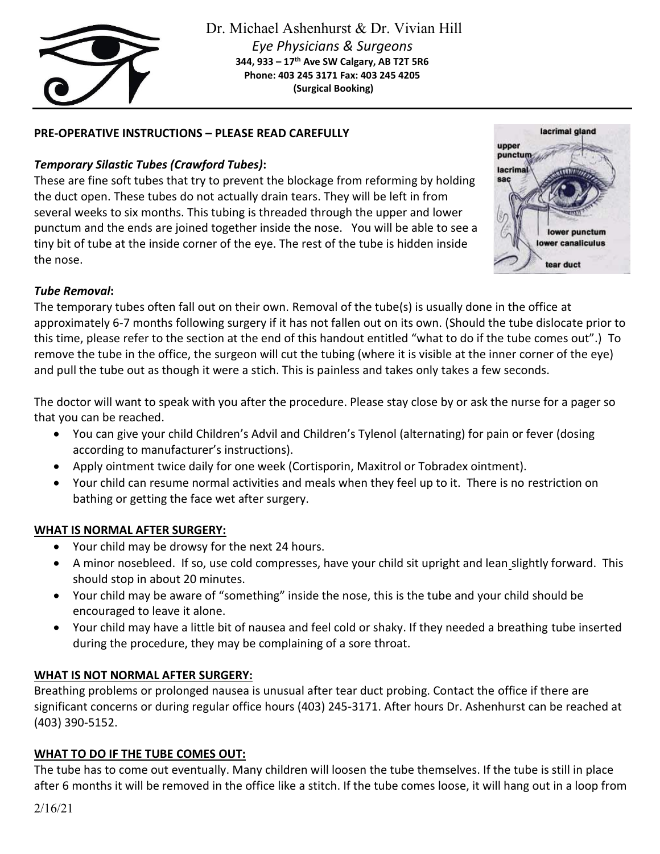

## **PRE-OPERATIVE INSTRUCTIONS – PLEASE READ CAREFULLY**

# *Temporary Silastic Tubes (Crawford Tubes)***:**

These are fine soft tubes that try to prevent the blockage from reforming by holding the duct open. These tubes do not actually drain tears. They will be left in from several weeks to six months. This tubing is threaded through the upper and lower punctum and the ends are joined together inside the nose. You will be able to see a tiny bit of tube at the inside corner of the eye. The rest of the tube is hidden inside the nose.



### *Tube Removal***:**

The temporary tubes often fall out on their own. Removal of the tube(s) is usually done in the office at approximately 6-7 months following surgery if it has not fallen out on its own. (Should the tube dislocate prior to this time, please refer to the section at the end of this handout entitled "what to do if the tube comes out".) To remove the tube in the office, the surgeon will cut the tubing (where it is visible at the inner corner of the eye) and pull the tube out as though it were a stich. This is painless and takes only takes a few seconds.

The doctor will want to speak with you after the procedure. Please stay close by or ask the nurse for a pager so that you can be reached.

- You can give your child Children's Advil and Children's Tylenol (alternating) for pain or fever (dosing according to manufacturer's instructions).
- Apply ointment twice daily for one week (Cortisporin, Maxitrol or Tobradex ointment).
- Your child can resume normal activities and meals when they feel up to it. There is no restriction on bathing or getting the face wet after surgery.

### **WHAT IS NORMAL AFTER SURGERY:**

- Your child may be drowsy for the next 24 hours.
- A minor nosebleed. If so, use cold compresses, have your child sit upright and lean slightly forward. This should stop in about 20 minutes.
- Your child may be aware of "something" inside the nose, this is the tube and your child should be encouraged to leave it alone.
- Your child may have a little bit of nausea and feel cold or shaky. If they needed a breathing tube inserted during the procedure, they may be complaining of a sore throat.

### **WHAT IS NOT NORMAL AFTER SURGERY:**

Breathing problems or prolonged nausea is unusual after tear duct probing. Contact the office if there are significant concerns or during regular office hours (403) 245-3171. After hours Dr. Ashenhurst can be reached at (403) 390-5152.

### **WHAT TO DO IF THE TUBE COMES OUT:**

The tube has to come out eventually. Many children will loosen the tube themselves. If the tube is still in place after 6 months it will be removed in the office like a stitch. If the tube comes loose, it will hang out in a loop from